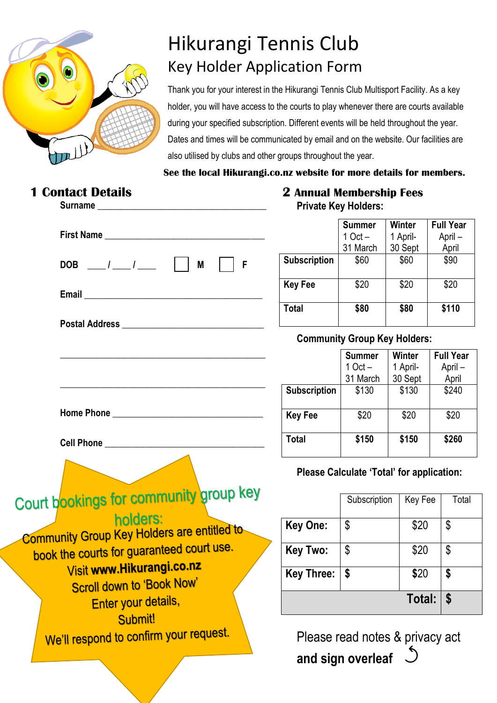

# Hikurangi Tennis Club Key Holder Application Form

Thank you for your interest in the Hikurangi Tennis Club Multisport Facility. As a key holder, you will have access to the courts to play whenever there are courts available during your specified subscription. Different events will be held throughout the year. Dates and times will be communicated by email and on the website. Our facilities are also utilised by clubs and other groups throughout the year.

 **See the local Hikurangi.co.nz website for more details for members.**

| <b>Contact Details</b><br>Surname                                                                                      |
|------------------------------------------------------------------------------------------------------------------------|
| First Name                                                                                                             |
| DOB $\frac{1}{\sqrt{2}}$ $\frac{1}{\sqrt{2}}$<br>M<br>F                                                                |
|                                                                                                                        |
|                                                                                                                        |
|                                                                                                                        |
| <u> 1980 - Johann John Stein, market fan it ferskearre fan it ferskearre fan it ferskearre fan it ferskearre fan i</u> |
|                                                                                                                        |
| Cell Phone Lawrence and Cell Phone                                                                                     |
|                                                                                                                        |
| Court bookings for community group key<br>holders:                                                                     |
| <b>Community Group Key Holders are entitled to</b>                                                                     |
| book the courts for guaranteed court use.                                                                              |
| Visit www.Hikurangi.co.nz                                                                                              |
| <b>Scroll down to 'Book Now'</b><br>Enter your details,                                                                |
| Submit!                                                                                                                |
| We'll respond to confirm your request.                                                                                 |

## **2 Annual Membership Fees Private Key Holders:**

|                     | <b>Summer</b><br>$1$ Oct $-$<br>31 March | Winter<br>1 April-<br>30 Sept | <b>Full Year</b><br>April-<br>April |
|---------------------|------------------------------------------|-------------------------------|-------------------------------------|
| <b>Subscription</b> | \$60                                     | \$60                          | \$90                                |
| <b>Key Fee</b>      | \$20                                     | \$20                          | \$20                                |
| Total               | \$80                                     | \$80                          | \$110                               |

# **Community Group Key Holders:**

|                     | <b>Summer</b><br>$1$ Oct $-$<br>31 March | Winter<br>1 April-<br>30 Sept | <b>Full Year</b><br>April –<br>April |
|---------------------|------------------------------------------|-------------------------------|--------------------------------------|
| <b>Subscription</b> | \$130                                    | \$130                         | \$240                                |
| <b>Key Fee</b>      | \$20                                     | \$20                          | \$20                                 |
| <b>Total</b>        | \$150                                    | \$150                         | \$260                                |

# **Please Calculate 'Total' for application:**

|                   | Subscription | Key Fee | Total |  |
|-------------------|--------------|---------|-------|--|
| <b>Key One:</b>   | \$           | \$20    | \$    |  |
| <b>Key Two:</b>   | \$           | \$20    | \$    |  |
| <b>Key Three:</b> | \$           | \$20    | \$    |  |
|                   |              | Total:  | S     |  |

Please read notes & privacy act **and sign overleaf**